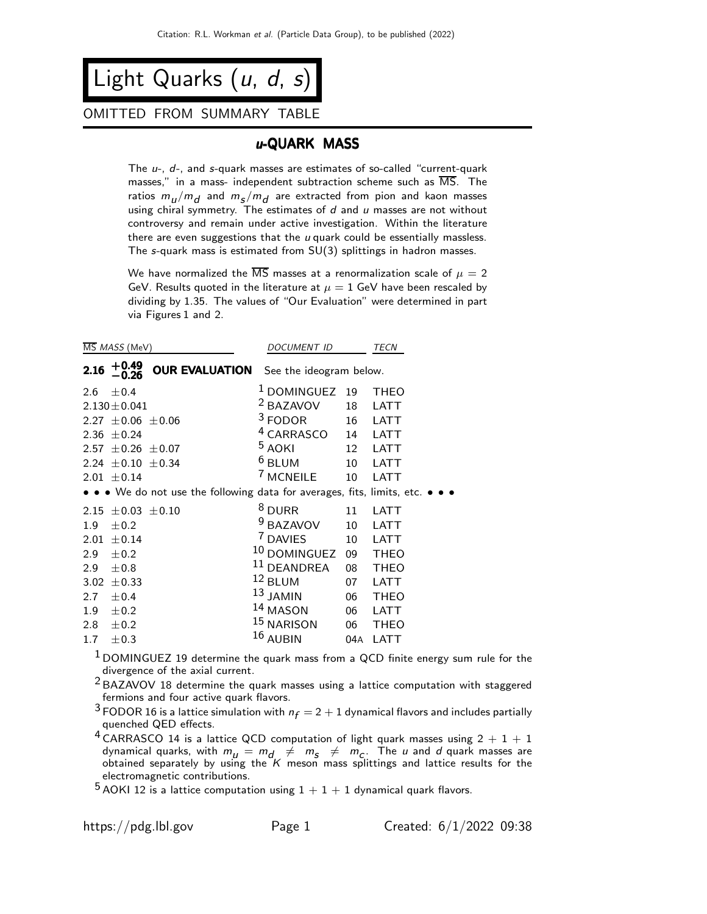Light Quarks  $(u, d, s)$ 

### OMITTED FROM SUMMARY TABLE

## u-QUARK MASS

The  $u$ -,  $d$ -, and  $s$ -quark masses are estimates of so-called "current-quark masses," in a mass- independent subtraction scheme such as MS. The ratios  $m_{\bm{l}}/m_{\bm{d}}$  and  $m_{\bm{S}}/m_{\bm{d}}$  are extracted from pion and kaon masses using chiral symmetry. The estimates of  $d$  and  $u$  masses are not without controversy and remain under active investigation. Within the literature there are even suggestions that the  $u$  quark could be essentially massless. The s-quark mass is estimated from SU(3) splittings in hadron masses.

We have normalized the  $\overline{\text{MS}}$  masses at a renormalization scale of  $\mu = 2$ GeV. Results quoted in the literature at  $\mu = 1$  GeV have been rescaled by dividing by 1.35. The values of "Our Evaluation" were determined in part via Figures 1 and 2.

| MS MASS (MeV)    |                                                                               | <b>DOCUMENT ID</b>      |     | <b>TECN</b> |
|------------------|-------------------------------------------------------------------------------|-------------------------|-----|-------------|
| 2.16             | +0.49<br><b>OUR EVALUATION</b><br>— 0.26                                      | See the ideogram below. |     |             |
| 2.6              | ±0.4                                                                          | <sup>1</sup> DOMINGUEZ  | 19  | <b>THEO</b> |
|                  | $2.130 \pm 0.041$                                                             | <sup>2</sup> BAZAVOV    | 18  | LATT        |
|                  | $2.27 \pm 0.06 \pm 0.06$                                                      | $3$ FODOR               | 16  | LATT        |
|                  | 2.36 $\pm$ 0.24                                                               | <sup>4</sup> CARRASCO   | 14  | <b>LATT</b> |
|                  | $2.57 \pm 0.26 \pm 0.07$                                                      | <sup>5</sup> AOKI       | 12  | LATT        |
|                  | 2.24 $\pm$ 0.10 $\pm$ 0.34                                                    | $6$ BLUM                | 10  | LATT        |
|                  | $2.01 \pm 0.14$                                                               | <sup>7</sup> MCNEILE    | 10  | LATT        |
|                  | • • • We do not use the following data for averages, fits, limits, etc. • • • |                         |     |             |
|                  | 2.15 $\pm$ 0.03 $\pm$ 0.10                                                    | <sup>8</sup> DURR       | 11  | LATT        |
| 1.9 <sub>z</sub> | $\pm 0.2$                                                                     | <sup>9</sup> BAZAVOV    | 10  | LATT        |
|                  | 2.01 $\pm$ 0.14                                                               | <sup>7</sup> DAVIES     | 10  | LATT        |
| 2.9              | ±0.2                                                                          | 10 DOMINGUEZ            | 09  | <b>THEO</b> |
| 2.9              | $\pm 0.8$                                                                     | $11$ DEANDREA           | 08  | <b>THEO</b> |
| 3.02             | $\pm$ 0.33                                                                    | 12 BLUM                 | 07  | LATT        |
| 2.7              | ± 0.4                                                                         | $13$ JAMIN              | 06  | <b>THEO</b> |
| 1.9 <sup>°</sup> | ±0.2                                                                          | 14 MASON                | 06  | LATT        |
| 2.8              | ±0.2                                                                          | 15 NARISON              | 06  | <b>THEO</b> |
| 1.7 <sub>2</sub> | $\pm 0.3$                                                                     | 16 AUBIN                | 04A | LATT        |
|                  |                                                                               |                         |     |             |

 $<sup>1</sup>$  DOMINGUEZ 19 determine the quark mass from a QCD finite energy sum rule for the</sup> divergence of the axial current.

 $2$  BAZAVOV 18 determine the quark masses using a lattice computation with staggered fermions and four active quark flavors.

 $^3$  FODOR 16 is a lattice simulation with  $n_f = 2 + 1$  dynamical flavors and includes partially quenched QED effects.

 $4$  CARRASCO 14 is a lattice QCD computation of light quark masses using  $2 + 1 + 1$ dynamical quarks, with  $m_{\mu} = m_{d} \neq m_{s} \neq m_{c}$ . The  $\mu$  and  $d$  quark masses are obtained separately by using the  $K$  meson mass splittings and lattice results for the electromagnetic contributions.

 $^5$  AOKI 12 is a lattice computation using  $1 + 1 + 1$  dynamical quark flavors.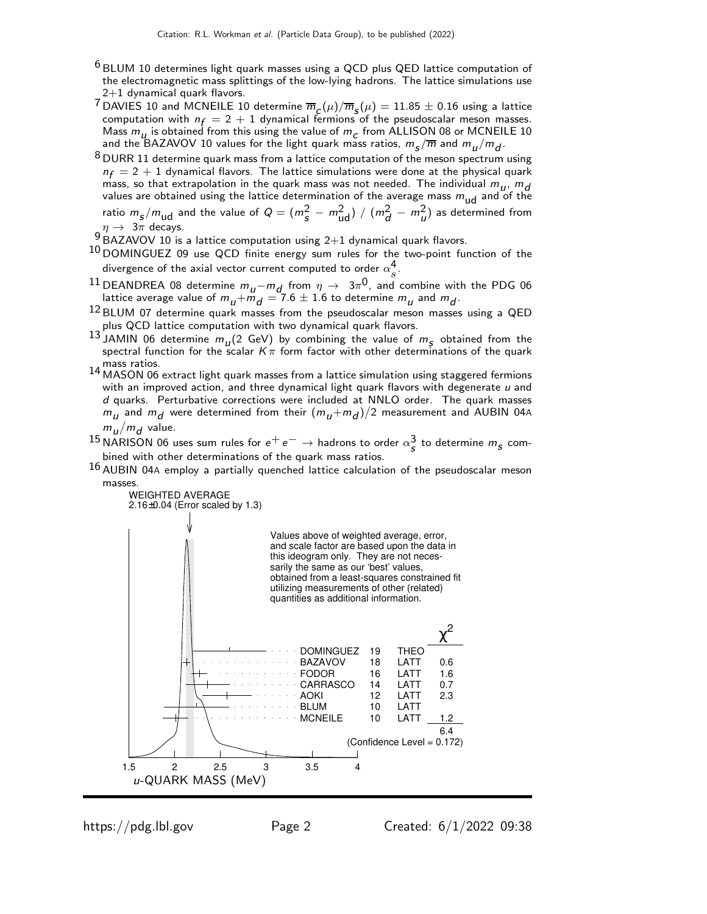- $6$  BLUM 10 determines light quark masses using a QCD plus QED lattice computation of the electromagnetic mass splittings of the low-lying hadrons. The lattice simulations use 2+1 dynamical quark flavors.
- $^{7}$ DAVIES 10 and MCNEILE 10 determine  $\overline{m}_{\mathcal{L}}(\mu)/\overline{m}_{\mathcal{S}}(\mu)=11.85\pm0.16$  using a lattice computation with  $n_f = 2 + 1$  dynamical fermions of the pseudoscalar meson masses. Mass  $m_{\mu}$  is obtained from this using the value of  $m_{\mu}$  from ALLISON 08 or MCNEILE 10 and the BAZAVOV 10 values for the light quark mass ratios,  $m_{\small{\textbf{s}}}/\overline{m}$  and  $m_{\small{U}}/m_{\small{d}}$ .
- $8$  DURR 11 determine quark mass from a lattice computation of the meson spectrum using  $n_f = 2 + 1$  dynamical flavors. The lattice simulations were done at the physical quark mass, so that extrapolation in the quark mass was not needed. The individual  $m_{u}$ ,  $m_{d}$ values are obtained using the lattice determination of the average mass  $m_{\rm ud}$  and of the ratio  $m_S/m_{ud}$  and the value of  $Q = (m_S^2 - m_{ud}^2) / (m_d^2 - m_u^2)$  as determined from  $\eta \rightarrow 3\pi$  decays.
- 9 BAZAVOV 10 is a lattice computation using 2+1 dynamical quark flavors.
- <sup>10</sup> DOMINGUEZ 09 use QCD finite energy sum rules for the two-point function of the divergence of the axial vector current computed to order  $\alpha_s^4$  .
- Solution the axial vector current computed to order  $\alpha_s$ .<br><sup>11</sup> DEANDREA 08 determine  $m_u m_d$  from  $\eta \to 3\pi^0$ , and combine with the PDG 06 lattice average value of  $m_{\overline{\bm{u}}} + \bar{m}_{\overline{\bm{d}}} = 7.6 \pm 1.6$  to determine  $m_{\overline{\bm{u}}}$  and  $m_{\overline{\bm{d}}}.$
- $12$  BLUM 07 determine quark masses from the pseudoscalar meson masses using a QED plus QCD lattice computation with two dynamical quark flavors.
- <sup>13</sup> JAMIN 06 determine  $m_U^2$  GeV) by combining the value of  $m_S^2$  obtained from the spectral function for the scalar  $K\pi$  form factor with other determinations of the quark mass ratios.
- 14 MASON 06 extract light quark masses from a lattice simulation using staggered fermions with an improved action, and three dynamical light quark flavors with degenerate  $u$  and d quarks. Perturbative corrections were included at NNLO order. The quark masses  $m_\mu$  and  $m_d$  were determined from their  $(m_\mu+m_d)/2$  measurement and AUBIN 04A  $m_u/m_d$  value.
- <sup>15</sup> NARISON 06 uses sum rules for  $e^+e^- \to$  hadrons to order  $\alpha_s^3$  to determine  $m_s$  combined with other determinations of the quark mass ratios.
- $16$  AUBIN 04A employ a partially quenched lattice calculation of the pseudoscalar meson masses.

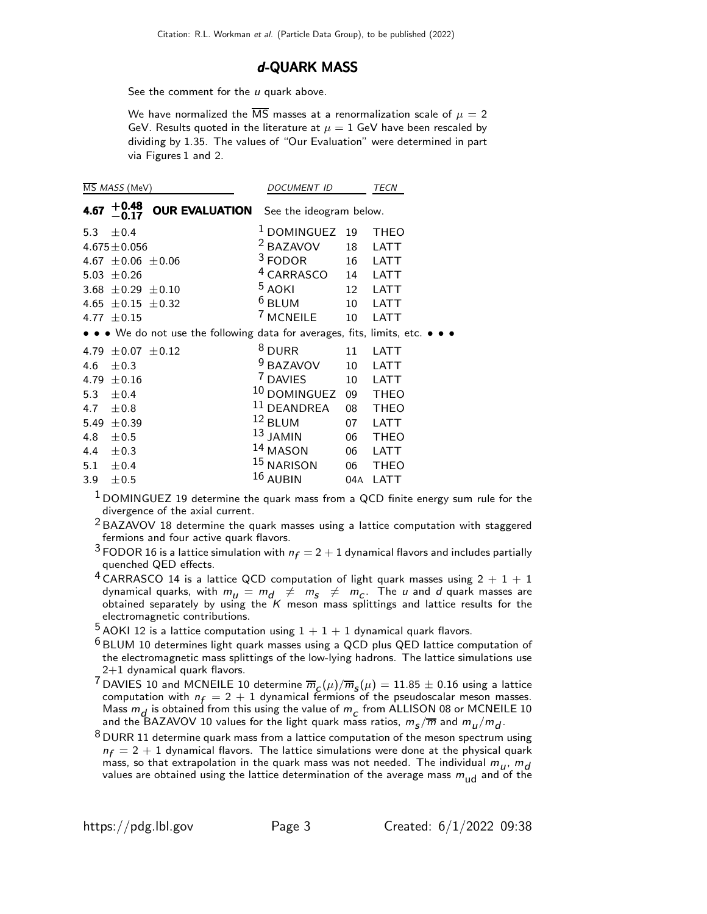#### d-QUARK MASS

See the comment for the  $u$  quark above.

We have normalized the  $\overline{\text{MS}}$  masses at a renormalization scale of  $\mu = 2$ GeV. Results quoted in the literature at  $\mu = 1$  GeV have been rescaled by dividing by 1.35. The values of "Our Evaluation" were determined in part via Figures 1 and 2.

|      | MS MASS (MeV)              |                                                                               | DOCUMENT ID                                   |     | <b>TECN</b> |  |  |
|------|----------------------------|-------------------------------------------------------------------------------|-----------------------------------------------|-----|-------------|--|--|
| 4.67 | $+0.48$                    |                                                                               | <b>OUR EVALUATION</b> See the ideogram below. |     |             |  |  |
| 5.3  | ± 0.4                      |                                                                               | <sup>1</sup> DOMINGUEZ                        | 19  | <b>THEO</b> |  |  |
|      | $4.675 \pm 0.056$          |                                                                               | <sup>2</sup> BAZAVOV                          | 18  | <b>LATT</b> |  |  |
|      | 4.67 $\pm$ 0.06 $\pm$ 0.06 |                                                                               | $3$ FODOR                                     | 16  | <b>LATT</b> |  |  |
|      | 5.03 $\pm$ 0.26            |                                                                               | $4$ CARRASCO                                  | 14  | <b>LATT</b> |  |  |
|      | 3.68 $\pm$ 0.29 $\pm$ 0.10 |                                                                               | <sup>5</sup> AOKI                             | 12  | <b>LATT</b> |  |  |
|      | 4.65 $\pm$ 0.15 $\pm$ 0.32 |                                                                               | $6$ BLUM                                      | 10  | <b>LATT</b> |  |  |
|      | 4.77 $\pm$ 0.15            |                                                                               | <sup>7</sup> MCNEILE                          | 10  | LATT        |  |  |
|      |                            | • • • We do not use the following data for averages, fits, limits, etc. • • • |                                               |     |             |  |  |
|      | 4.79 $\pm 0.07$ $\pm 0.12$ |                                                                               | $8$ DURR                                      | 11  | <b>LATT</b> |  |  |
| 4.6  | $\pm 0.3$                  |                                                                               | $9$ BAZAVOV                                   | 10  | <b>LATT</b> |  |  |
|      | 4.79 $\pm 0.16$            |                                                                               | <sup>7</sup> DAVIES                           | 10  | <b>LATT</b> |  |  |
| 5.3  | ±0.4                       |                                                                               | 10 DOMINGUEZ                                  | 09  | <b>THEO</b> |  |  |
| 4.7  | ±0.8                       |                                                                               | $11$ DEANDREA                                 | 08  | <b>THEO</b> |  |  |
| 5.49 | $\pm 0.39$                 |                                                                               | $12$ BLUM                                     | 07  | <b>LATT</b> |  |  |
| 4.8  | ±0.5                       |                                                                               | $13$ JAMIN                                    | 06  | <b>THEO</b> |  |  |
|      | 4.4 $\pm 0.3$              |                                                                               | 14 MASON                                      | 06  | LATT        |  |  |
|      | 5.1 $\pm$ 0.4              |                                                                               | $15$ NARISON                                  | 06  | <b>THEO</b> |  |  |
| 3.9  | ±0.5                       |                                                                               | $16$ AUBIN                                    | 04A | <b>LATT</b> |  |  |

 $1$  DOMINGUEZ 19 determine the quark mass from a QCD finite energy sum rule for the divergence of the axial current.

 $2$  BAZAVOV 18 determine the quark masses using a lattice computation with staggered fermions and four active quark flavors.

- <sup>3</sup> FODOR 16 is a lattice simulation with  $n_f = 2 + 1$  dynamical flavors and includes partially quenched QED effects.
- $4$  CARRASCO 14 is a lattice QCD computation of light quark masses using  $2 + 1 + 1$ dynamical quarks, with  $m_{\mu} = m_{d} \neq m_{S} \neq m_{C}$ . The  $\mu$  and  $d$  quark masses are obtained separately by using the  $K$  meson mass splittings and lattice results for the electromagnetic contributions.
- $^5$  AOKI 12 is a lattice computation using  $1 + 1 + 1$  dynamical quark flavors.
- $6$  BLUM 10 determines light quark masses using a QCD plus QED lattice computation of the electromagnetic mass splittings of the low-lying hadrons. The lattice simulations use 2+1 dynamical quark flavors.
- <sup>7</sup> DAVIES 10 and MCNEILE 10 determine  $\overline{m}_{\mathcal{L}}(\mu)/\overline{m}_{\mathcal{S}}(\mu)=11.85\pm0.16$  using a lattice computation with  $n_f = 2 + 1$  dynamical fermions of the pseudoscalar meson masses. Mass  $m_d$  is obtained from this using the value of  $m_c$  from ALLISON 08 or MCNEILE 10 and the BAZAVOV 10 values for the light quark mass ratios,  $m_{\small{\textbf{s}}}/\overline{m}$  and  $m_{\small{\textbf{u}}}/m_{\small{\textbf{d}}}.$
- $8$  DURR 11 determine quark mass from a lattice computation of the meson spectrum using  $n_f = 2 + 1$  dynamical flavors. The lattice simulations were done at the physical quark mass, so that extrapolation in the quark mass was not needed. The individual  $m_{u}$ ,  $m_{d}$ values are obtained using the lattice determination of the average mass  $m_{ud}$  and of the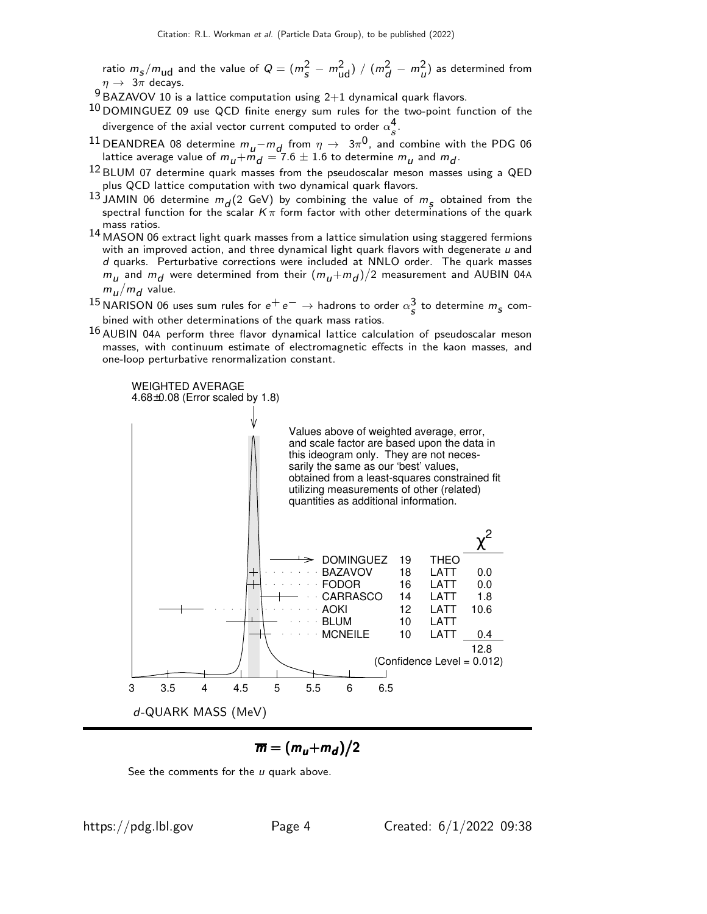ratio  $m_S/m_{ud}$  and the value of  $Q = (m_S^2 - m_{ud}^2) / (m_d^2 - m_u^2)$  as determined from  $\eta \rightarrow 3\pi$  decays.

- $9$  BAZAVOV 10 is a lattice computation using 2+1 dynamical quark flavors.
- 10 DOMINGUEZ 09 use QCD finite energy sum rules for the two-point function of the divergence of the axial vector current computed to order  $\alpha_s^4$  $\frac{4}{s}$ .
- <sup>11</sup> DEANDREA 08 determine  $m_{\mu} m_{\textit{d}}$  from  $\eta$  →  $3\pi^{0}$ , and combine with the PDG 06 lattice average value of  $m_{\overline{\bm{u}}} + \bar{m}_{\overline{\bm{d}}} = 7.6 \pm 1.6$  to determine  $m_{\overline{\bm{u}}}$  and  $m_{\overline{\bm{d}}}.$
- <sup>12</sup> BLUM 07 determine quark masses from the pseudoscalar meson masses using a QED plus QCD lattice computation with two dynamical quark flavors.
- <sup>13</sup> JAMIN 06 determine  $m_d$  (2 GeV) by combining the value of  $m_s$  obtained from the spectral function for the scalar  $K\pi$  form factor with other determinations of the quark mass ratios.
- 14 MASON 06 extract light quark masses from a lattice simulation using staggered fermions with an improved action, and three dynamical light quark flavors with degenerate  $u$  and d quarks. Perturbative corrections were included at NNLO order. The quark masses  $m_\mu$  and  $m_d$  were determined from their  $(m_\mu+m_d)/2$  measurement and AUBIN 04A  $m_u/m_d$  value.
- $^{15}$ NARISON 06 uses sum rules for  $e^+e^-\to$  hadrons to order  $\alpha_{\cal S}^3$  to determine  $m_{\cal S}$  combined with other determinations of the quark mass ratios.
- $16$  AUBIN 04A perform three flavor dynamical lattice calculation of pseudoscalar meson masses, with continuum estimate of electromagnetic effects in the kaon masses, and one-loop perturbative renormalization constant.



$$
\overline{m}=(m_u+m_d)/2
$$

See the comments for the  $u$  quark above.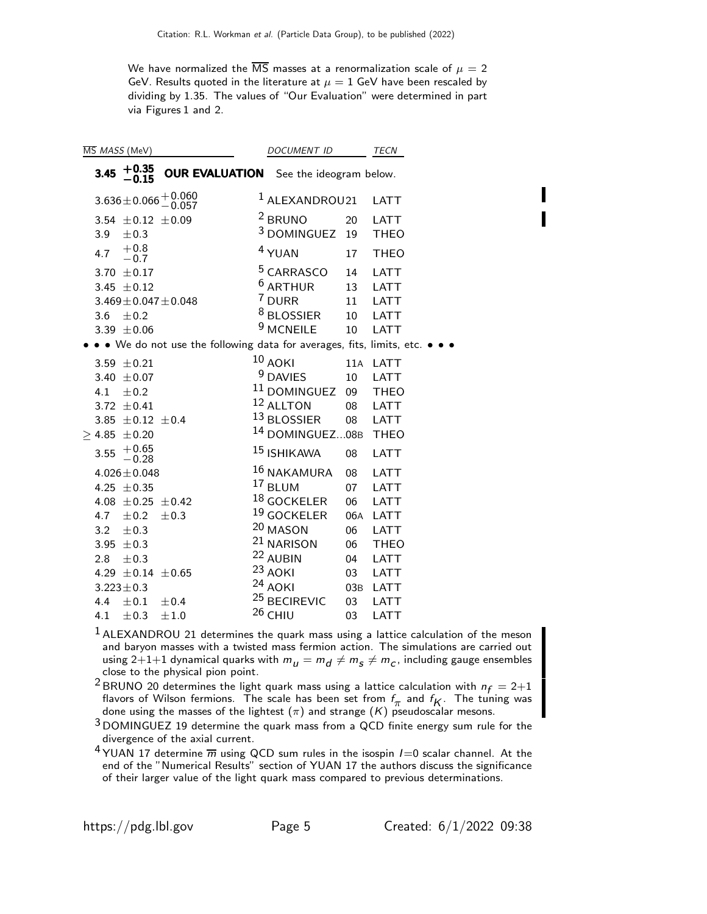We have normalized the  $\overline{\text{MS}}$  masses at a renormalization scale of  $\mu = 2$ GeV. Results quoted in the literature at  $\mu = 1$  GeV have been rescaled by dividing by 1.35. The values of "Our Evaluation" were determined in part via Figures 1 and 2.

|      | MS MASS (MeV)                                                      |                                                                                                        | DOCUMENT ID                                                                                             |                            | TECN                                               |
|------|--------------------------------------------------------------------|--------------------------------------------------------------------------------------------------------|---------------------------------------------------------------------------------------------------------|----------------------------|----------------------------------------------------|
| 3.45 | $+0.35$<br>$-0.15$                                                 | <b>OUR EVALUATION</b> See the ideogram below.                                                          |                                                                                                         |                            |                                                    |
|      |                                                                    | $3.636 \pm 0.066 \begin{array}{c} +0.060 \\ -0.057 \end{array}$                                        | $1$ ALEXANDROU21                                                                                        |                            | <b>LATT</b>                                        |
| 3.9  | $\pm 0.3$                                                          | $3.54 \pm 0.12 \pm 0.09$                                                                               | <sup>2</sup> BRUNO<br><sup>3</sup> DOMINGUEZ                                                            | 20<br>19                   | LATT<br><b>THEO</b>                                |
| 4.7  | $+0.8$<br>$-0.7$                                                   |                                                                                                        | <sup>4</sup> YUAN                                                                                       | 17                         | <b>THEO</b>                                        |
| 3.6  | 3.70 $\pm$ 0.17<br>3.45 $\pm$ 0.12<br>$\pm 0.2$<br>3.39 $\pm 0.06$ | $3.469 \pm 0.047 \pm 0.048$<br>• • We do not use the following data for averages, fits, limits, etc. • | <sup>5</sup> CARRASCO<br><sup>6</sup> ARTHUR<br>7 DURR<br><sup>8</sup> BLOSSIER<br><sup>9</sup> MCNEILE | 14<br>13<br>11<br>10<br>10 | <b>LATT</b><br><b>LATT</b><br>LATT<br>LATT<br>LATT |
|      | 3.59 $\pm$ 0.21                                                    |                                                                                                        | $10$ AOKI                                                                                               |                            | 11A LATT                                           |
|      | 3.40 $\pm 0.07$                                                    |                                                                                                        | <sup>9</sup> DAVIES                                                                                     | 10                         | <b>LATT</b>                                        |
|      | 4.1 $\pm 0.2$<br>3.72 $\pm$ 0.41<br>$>$ 4.85 $\pm$ 0.20            | 3.85 $\pm$ 0.12 $\pm$ 0.4                                                                              | <sup>11</sup> DOMINGUEZ 09<br>12 ALLTON<br>13 BLOSSIER<br><sup>14</sup> DOMINGUEZ08B                    | 08<br>08                   | <b>THEO</b><br>LATT<br><b>LATT</b><br><b>THEO</b>  |
| 3.55 | $+0.65$<br>$-0.28$                                                 |                                                                                                        | <sup>15</sup> ISHIKAWA                                                                                  | 08                         | <b>LATT</b>                                        |
|      | $4.026 \pm 0.048$<br>4.25 $\pm$ 0.35<br>4.7 $\pm$ 0.2              | 4.08 $\pm$ 0.25 $\pm$ 0.42<br>$\pm 0.3$                                                                | $16$ NAKAMURA<br>$17$ BLUM<br>$^{18}$ GOCKELER<br>19 GOCKELER                                           | 08<br>07<br>06<br>06A      | LATT<br>LATT<br><b>LATT</b><br>LATT                |
| 3.2  | $\pm 0.3$<br>3.95 $\pm$ 0.3                                        |                                                                                                        | 20 MASON<br><sup>21</sup> NARISON                                                                       | 06<br>06                   | <b>LATT</b><br><b>THEO</b>                         |
|      | 2.8 $\pm$ 0.3<br>4.29 $\pm$ 0.14 $\pm$ 0.65                        |                                                                                                        | 22 AUBIN<br>$23$ AOKI<br>$24$ AOKI                                                                      | 04<br>03                   | LATT<br>LATT                                       |
| 4.4  | $3.223 \pm 0.3$<br>$\pm 0.1$                                       | ±0.4                                                                                                   | <sup>25</sup> BECIREVIC                                                                                 | 03B<br>03                  | LATT<br><b>LATT</b>                                |
| 4.1  | ±0.3                                                               | $\pm 1.0$                                                                                              | $26$ CHIU                                                                                               | 03                         | LATT                                               |

 ALEXANDROU 21 determines the quark mass using a lattice calculation of the meson and baryon masses with a twisted mass fermion action. The simulations are carried out using 2 $+1+1$  dynamical quarks with  $m_{_{{I\!I}}} = m_{_{{I\!I}}} \neq m_{_{{S\!I}}} \neq m_{_{{C}},$  including gauge ensembles close to the physical pion point.

<sup>2</sup> BRUNO 20 determines the light quark mass using a lattice calculation with  $n_f = 2+1$ flavors of Wilson fermions. The scale has been set from  $f_{\pi}$  and  $f_{K}$ . The tuning was done using the masses of the lightest  $(\pi)$  and strange  $(K)$  pseudoscalar mesons.

 DOMINGUEZ 19 determine the quark mass from a QCD finite energy sum rule for the divergence of the axial current.

<sup>4</sup> YUAN 17 determine  $\overline{m}$  using QCD sum rules in the isospin  $I=0$  scalar channel. At the end of the "Numerical Results" section of YUAN 17 the authors discuss the significance of their larger value of the light quark mass compared to previous determinations.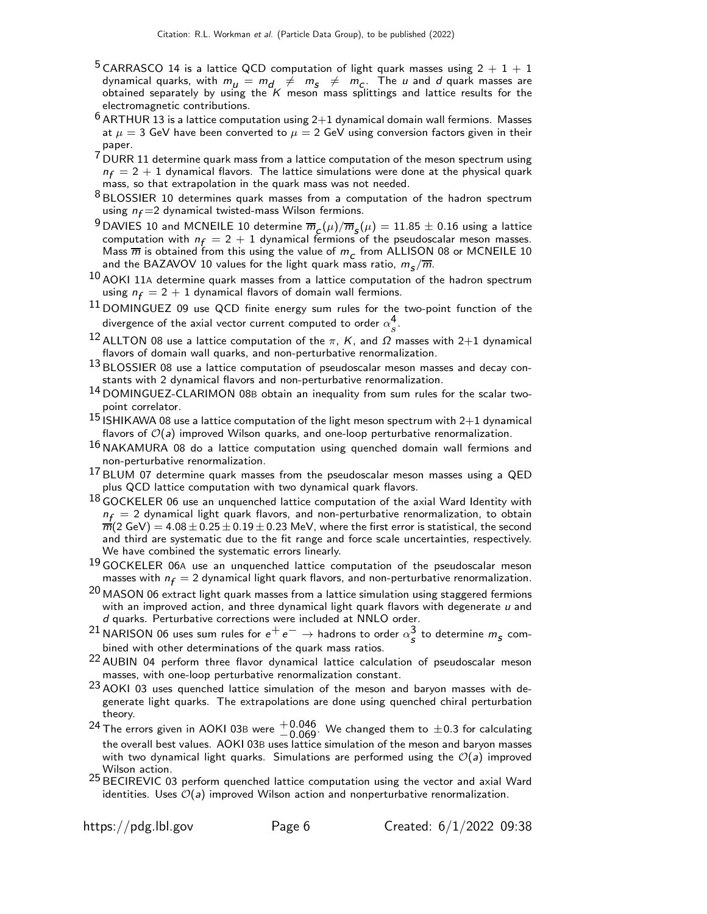- <sup>5</sup> CARRASCO 14 is a lattice QCD computation of light quark masses using  $2 + 1 + 1$ dynamical quarks, with  $m_{\mu} = m_{d} \neq m_{s} \neq m_{c}$ . The  $\mu$  and  $d$  quark masses are obtained separately by using the  $K$  meson mass splittings and lattice results for the electromagnetic contributions.
- $^6$  ARTHUR 13 is a lattice computation using 2 $+1$  dynamical domain wall fermions. Masses at  $\mu = 3$  GeV have been converted to  $\mu = 2$  GeV using conversion factors given in their paper.
- 7 DURR 11 determine quark mass from a lattice computation of the meson spectrum using  $n_f = 2 + 1$  dynamical flavors. The lattice simulations were done at the physical quark mass, so that extrapolation in the quark mass was not needed.
- 8 BLOSSIER 10 determines quark masses from a computation of the hadron spectrum using  $n_f = 2$  dynamical twisted-mass Wilson fermions.
- $^9$ DAVIES 10 and MCNEILE 10 determine  $\overline m_{\cal L}(\mu)/\overline m_{\cal S}(\mu)=11.85\pm0.16$  using a lattice computation with  $n_f = 2 + 1$  dynamical fermions of the pseudoscalar meson masses. Mass  $\overline{m}$  is obtained from this using the value of  $m_c$  from ALLISON 08 or MCNEILE 10 and the BAZAVOV 10 values for the light quark mass ratio,  $m_{\small{\bf S}}/\overline{m}.$
- $10$  AOKI 11A determine quark masses from a lattice computation of the hadron spectrum using  $n_f = 2 + 1$  dynamical flavors of domain wall fermions.
- <sup>11</sup> DOMINGUEZ 09 use QCD finite energy sum rules for the two-point function of the divergence of the axial vector current computed to order  $\alpha_s^4$  $\frac{4}{s}$ .
- <sup>12</sup> ALLTON 08 use a lattice computation of the π, K, and  $\Omega$  masses with 2+1 dynamical flavors of domain wall quarks, and non-perturbative renormalization.
- 13 BLOSSIER 08 use a lattice computation of pseudoscalar meson masses and decay constants with 2 dynamical flavors and non-perturbative renormalization.
- 14 DOMINGUEZ-CLARIMON 08<sup>B</sup> obtain an inequality from sum rules for the scalar twopoint correlator.
- 15 ISHIKAWA 08 use a lattice computation of the light meson spectrum with  $2+1$  dynamical flavors of  $\mathcal{O}(a)$  improved Wilson quarks, and one-loop perturbative renormalization.
- <sup>16</sup> NAKAMURA 08 do a lattice computation using quenched domain wall fermions and non-perturbative renormalization.
- $^{17}$  BLUM 07 determine quark masses from the pseudoscalar meson masses using a QED plus QCD lattice computation with two dynamical quark flavors.
- $^{18}$  GOCKELER 06 use an unquenched lattice computation of the axial Ward Identity with  $n_f = 2$  dynamical light quark flavors, and non-perturbative renormalization, to obtain  $\overline{m}(2 \text{ GeV}) = 4.08 \pm 0.25 \pm 0.19 \pm 0.23 \text{ MeV}$ , where the first error is statistical, the second and third are systematic due to the fit range and force scale uncertainties, respectively. We have combined the systematic errors linearly.
- <sup>19</sup> GOCKELER 06A use an unquenched lattice computation of the pseudoscalar meson masses with  $n_f = 2$  dynamical light quark flavors, and non-perturbative renormalization.
- $20$  MASON 06 extract light quark masses from a lattice simulation using staggered fermions with an improved action, and three dynamical light quark flavors with degenerate  $u$  and d quarks. Perturbative corrections were included at NNLO order.
- <sup>21</sup> NARISON 06 uses sum rules for  $e^+e^- \to$  hadrons to order  $\alpha_s^3$  to determine  $m_5$  combined with other determinations of the quark mass ratios.
- <sup>22</sup> AUBIN 04 perform three flavor dynamical lattice calculation of pseudoscalar meson masses, with one-loop perturbative renormalization constant.
- $23$  AOKI 03 uses quenched lattice simulation of the meson and baryon masses with degenerate light quarks. The extrapolations are done using quenched chiral perturbation theory.
- $^{24}$ The errors given in AOKI 03B were  $^{+0.046}_{-0.069}$ . We changed them to  $\pm$ 0.3 for calculating the overall best values. AOKI 03B uses lattice simulation of the meson and baryon masses with two dynamical light quarks. Simulations are performed using the  $\mathcal{O}(a)$  improved Wilson action.
- $25$  BECIREVIC 03 perform quenched lattice computation using the vector and axial Ward identities. Uses  $\mathcal{O}(a)$  improved Wilson action and nonperturbative renormalization.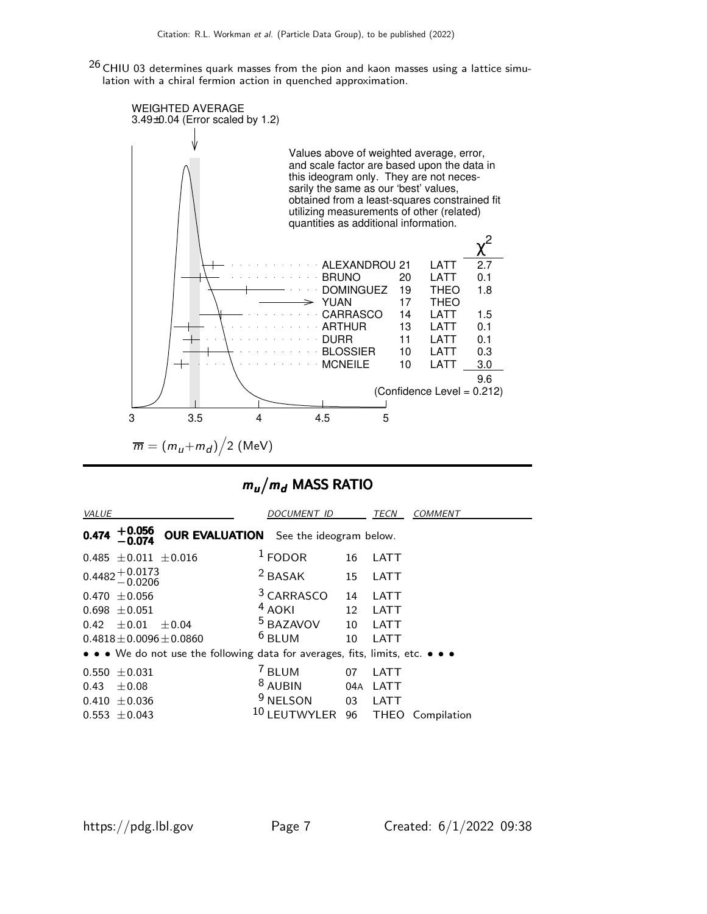$26$  CHIU 03 determines quark masses from the pion and kaon masses using a lattice simulation with a chiral fermion action in quenched approximation.



# $m_u/m_d$  MASS RATIO

| <b>VALUE</b>                                                                  | <i>DOCUMENT ID</i>    |     | TECN<br><i>COMMENT</i>     |  |  |  |  |  |
|-------------------------------------------------------------------------------|-----------------------|-----|----------------------------|--|--|--|--|--|
| $+0.056$<br><b>OUR EVALUATION</b> See the ideogram below.<br>0.474            |                       |     |                            |  |  |  |  |  |
| $0.485 \pm 0.011 \pm 0.016$                                                   | $1$ FODOR             | 16  | LATT                       |  |  |  |  |  |
| $0.4482 + 0.0173$<br>$-0.0206$                                                | $2$ BASAK             | 15  | LATT                       |  |  |  |  |  |
| $0.470 + 0.056$                                                               | <sup>3</sup> CARRASCO | 14  | LATT                       |  |  |  |  |  |
| $0.698 + 0.051$                                                               | $4$ AOKI              | 12  | LATT                       |  |  |  |  |  |
| $\pm 0.01$<br>0.42<br>$+0.04$                                                 | <sup>5</sup> BAZAVOV  | 10  | LATT                       |  |  |  |  |  |
| $0.4818 + 0.0096 + 0.0860$                                                    | $6$ BLUM              | 10  | LATT                       |  |  |  |  |  |
| • • • We do not use the following data for averages, fits, limits, etc. • • • |                       |     |                            |  |  |  |  |  |
| $0.550 \pm 0.031$                                                             | <sup>7</sup> BLUM     | 07  | LATT                       |  |  |  |  |  |
| $\pm 0.08$<br>0.43                                                            | $8$ AUBIN             | 04A | LATT                       |  |  |  |  |  |
| $0.410 \pm 0.036$                                                             | <sup>9</sup> NELSON   | 03  | LATT                       |  |  |  |  |  |
| $0.553 \pm 0.043$                                                             | <b>LEUTWYLER</b>      | 96  | <b>THEO</b><br>Compilation |  |  |  |  |  |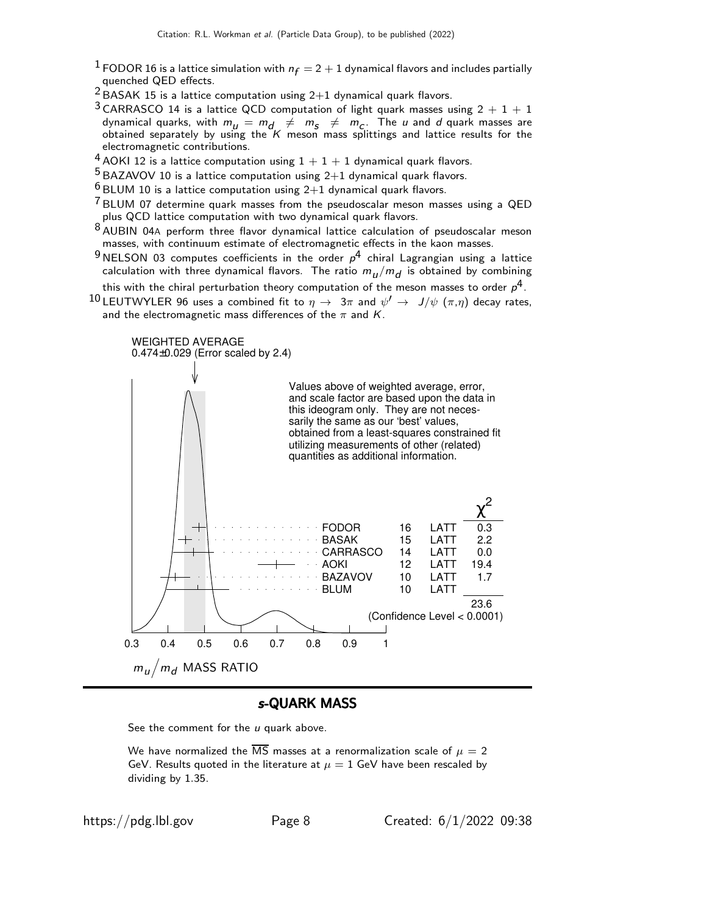- $^1$  FODOR 16 is a lattice simulation with  $n_f = 2 + 1$  dynamical flavors and includes partially quenched QED effects.
- $2$  BASAK 15 is a lattice computation using  $2+1$  dynamical quark flavors.
- <sup>3</sup> CARRASCO 14 is a lattice QCD computation of light quark masses using  $2 + 1 + 1$ dynamical quarks, with  $m_{\mu} = m_{d} \neq m_{\varsigma} \neq m_{C}$ . The  $\mu$  and  $d$  quark masses are obtained separately by using the  $K$  meson mass splittings and lattice results for the electromagnetic contributions.
- $4$  AOKI 12 is a lattice computation using  $1 + 1 + 1$  dynamical quark flavors.

 $5$  BAZAVOV 10 is a lattice computation using  $2+1$  dynamical quark flavors.

- $6$  BLUM 10 is a lattice computation using  $2+1$  dynamical quark flavors.
- $7$  BLUM 07 determine quark masses from the pseudoscalar meson masses using a QED plus QCD lattice computation with two dynamical quark flavors.
- 8 AUBIN 04<sup>A</sup> perform three flavor dynamical lattice calculation of pseudoscalar meson masses, with continuum estimate of electromagnetic effects in the kaon masses.
- $^9$ NELSON 03 computes coefficients in the order  $\rho^4$  chiral Lagrangian using a lattice calculation with three dynamical flavors. The ratio  $m_{\bm{l}}/m_{\bm{d}}$  is obtained by combining this with the chiral perturbation theory computation of the meson masses to order  $\rho^4$ .
- $^{10}$ LEUTWYLER 96 uses a combined fit to  $\eta \rightarrow \; 3\pi$  and  $\psi' \rightarrow \; J/\psi \; (\pi,\eta)$  decay rates, and the electromagnetic mass differences of the  $\pi$  and  $K$ .



#### s-QUARK MASS

See the comment for the  $u$  quark above.

We have normalized the  $\overline{\text{MS}}$  masses at a renormalization scale of  $\mu = 2$ GeV. Results quoted in the literature at  $\mu = 1$  GeV have been rescaled by dividing by 1.35.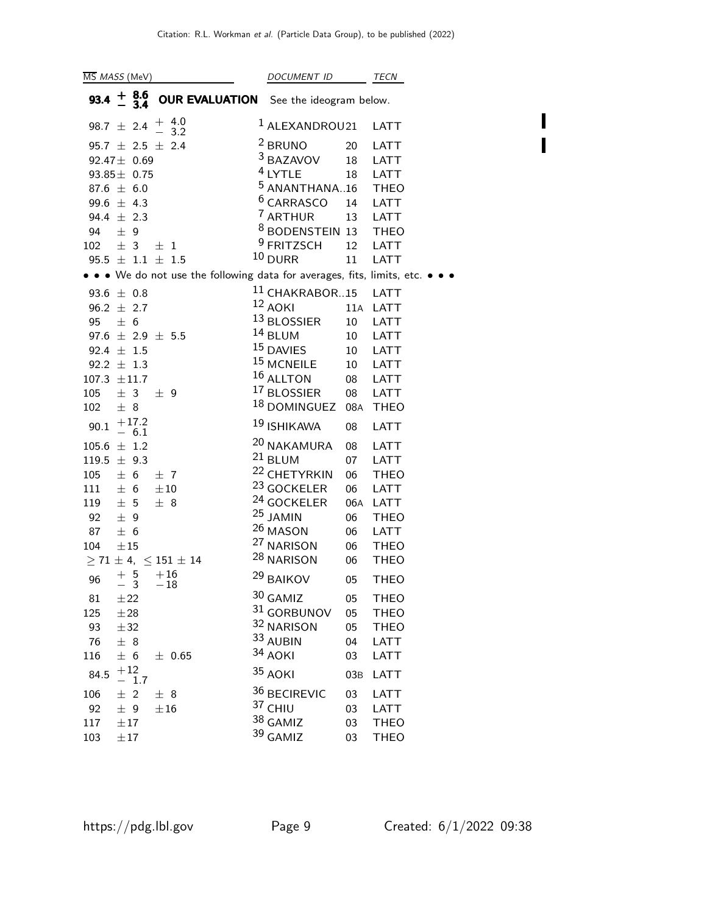| $\overline{\text{MS}}$ <i>MASS</i> (MeV) |           |                        | DOCUMENT ID                        |  | TECN                                          |     |                                                                               |
|------------------------------------------|-----------|------------------------|------------------------------------|--|-----------------------------------------------|-----|-------------------------------------------------------------------------------|
| $93.4 + 8.6$                             |           | - 3.4                  |                                    |  | <b>OUR EVALUATION</b> See the ideogram below. |     |                                                                               |
|                                          |           |                        | 98.7 $\pm$ 2.4 $\frac{+}{-}$ 4.0   |  | $1$ ALEXANDROU21                              |     | <b>LATT</b>                                                                   |
|                                          |           |                        | $95.7 \pm 2.5 \pm 2.4$             |  | $2$ BRUNO                                     | 20  | <b>LATT</b>                                                                   |
| $92.47 \pm 0.69$                         |           |                        |                                    |  | <sup>3</sup> BAZAVOV                          | 18  | LATT                                                                          |
| $93.85 \pm 0.75$                         |           |                        |                                    |  | $4$ LYTLE                                     | 18  | <b>LATT</b>                                                                   |
| 87.6 $\pm$ 6.0                           |           |                        |                                    |  | <sup>5</sup> ANANTHANA16                      |     | <b>THEO</b>                                                                   |
| 99.6 $\pm$ 4.3                           |           |                        |                                    |  | $6$ CARRASCO                                  | 14  | <b>LATT</b>                                                                   |
| 94.4 $\pm$ 2.3                           |           |                        |                                    |  | <sup>7</sup> ARTHUR                           | 13  | <b>LATT</b>                                                                   |
| 94 $\pm$ 9                               |           |                        |                                    |  | <sup>8</sup> BODENSTEIN 13 THEO               |     |                                                                               |
| $102 \pm 3$                              |           |                        | $\pm$ 1                            |  | <sup>9</sup> FRITZSCH                         |     | 12 LATT                                                                       |
|                                          |           |                        | $95.5 \pm 1.1 \pm 1.5$             |  | $10$ DURR                                     | 11  | <b>LATT</b>                                                                   |
|                                          |           |                        |                                    |  |                                               |     | • • • We do not use the following data for averages, fits, limits, etc. • • • |
| 93.6 $\pm$ 0.8                           |           |                        |                                    |  | <sup>11</sup> CHAKRABOR15 LATT                |     |                                                                               |
| $96.2 \pm 2.7$                           |           |                        |                                    |  | 12 AOKI                                       |     | 11A LATT                                                                      |
| 95                                       | ± 6       |                        |                                    |  | 13 BLOSSIER                                   | 10  | <b>LATT</b>                                                                   |
|                                          |           |                        | $97.6 \pm 2.9 \pm 5.5$             |  | $14$ BLUM                                     | 10  | <b>LATT</b>                                                                   |
| 92.4 $\pm$ 1.5                           |           |                        |                                    |  | <sup>15</sup> DAVIES                          | 10  | <b>LATT</b>                                                                   |
| 92.2 $\pm$ 1.3                           |           |                        |                                    |  | <sup>15</sup> MCNEILE                         | 10  | <b>LATT</b>                                                                   |
| $107.3 \pm 11.7$                         |           |                        |                                    |  | $16$ ALLTON                                   | 08  | LATT                                                                          |
| $105 \pm 3$                              |           |                        | $\pm$ 9                            |  | <sup>17</sup> BLOSSIER 08                     |     | LATT                                                                          |
| 102                                      | ± 8       |                        |                                    |  | <sup>18</sup> DOMINGUEZ 08A                   |     | <b>THEO</b>                                                                   |
| 90.1                                     |           | $+17.2$<br>$-6.1$      |                                    |  | <sup>19</sup> ISHIKAWA                        | 08  | <b>LATT</b>                                                                   |
| $105.6 \pm 1.2$                          |           |                        |                                    |  | <sup>20</sup> NAKAMURA                        | 08  | LATT                                                                          |
| $119.5 \pm 9.3$                          |           |                        |                                    |  | $21$ BLUM                                     | 07  | <b>LATT</b>                                                                   |
| 105                                      | ± 6       |                        | ±7                                 |  | <sup>22</sup> CHETYRKIN                       | 06  | <b>THEO</b>                                                                   |
| 111                                      | ± 6       |                        | $\pm 10$                           |  | <sup>23</sup> GOCKELER                        | 06  | LATT                                                                          |
| 119                                      | ± 5       |                        | ± 8                                |  | <sup>24</sup> GOCKELER                        | 06A | LATT                                                                          |
| 92                                       | ± 9       |                        |                                    |  | $25$ JAMIN                                    | 06  | <b>THEO</b>                                                                   |
| 87                                       | ± 6       |                        |                                    |  | 26 MASON                                      | 06  | LATT                                                                          |
| 104                                      | $\pm 15$  |                        |                                    |  | <sup>27</sup> NARISON                         | 06  | <b>THEO</b>                                                                   |
|                                          |           |                        | $\geq 71 \pm 4, \ \leq 151 \pm 14$ |  | <sup>28</sup> NARISON                         | 06  | <b>THEO</b>                                                                   |
| 96                                       |           | $+5$<br>$\overline{3}$ | $+16$<br>$-18$                     |  | <sup>29</sup> BAIKOV                          | 05  | <b>THEO</b>                                                                   |
| 81                                       | ±22       |                        |                                    |  | $30$ GAMIZ                                    | 05  | <b>THEO</b>                                                                   |
| 125                                      | $\pm 28$  |                        |                                    |  | 31 GORBUNOV                                   | 05  | <b>THEO</b>                                                                   |
| 93                                       | ±32       |                        |                                    |  | 32 NARISON                                    | 05  | <b>THEO</b>                                                                   |
| 76                                       | ± 8       |                        |                                    |  | 33 AUBIN                                      | 04  | <b>LATT</b>                                                                   |
| 116                                      | ± 6       |                        | $\pm$ 0.65                         |  | 34 AOKI                                       | 03  | LATT                                                                          |
| 84.5                                     | $+12$     | 1.7                    |                                    |  | 35 AOKI                                       | 03B | LATT                                                                          |
| 106                                      | $±$ 2     |                        | ± 8                                |  | 36 BECIREVIC                                  | 03  | LATT                                                                          |
| 92                                       | ± 9       |                        | ±16                                |  | 37 CHIU                                       | 03  | LATT                                                                          |
| 117                                      | $\pm\,17$ |                        |                                    |  | 38 GAMIZ                                      | 03  | <b>THEO</b>                                                                   |
| 103                                      | $\pm 17$  |                        |                                    |  | 39 GAMIZ                                      | 03  | <b>THEO</b>                                                                   |

 $\blacksquare$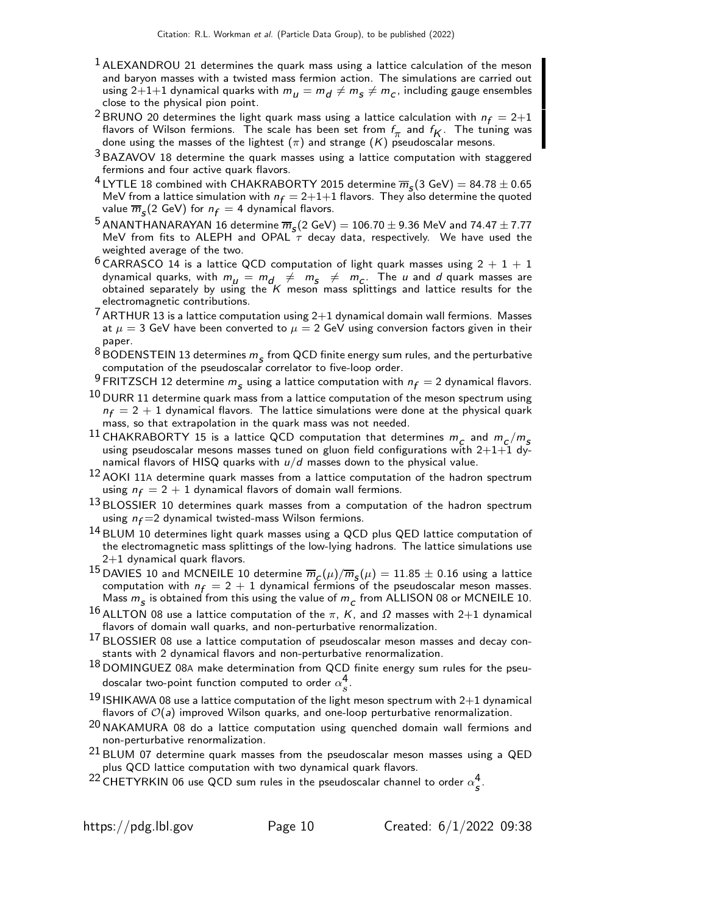- $<sup>1</sup>$  ALEXANDROU 21 determines the quark mass using a lattice calculation of the meson</sup> and baryon masses with a twisted mass fermion action. The simulations are carried out using 2 $+1+1$  dynamical quarks with  $m_{_H}=m_{_H}\neq m_{_S}\neq m_{_C},$  including gauge ensembles close to the physical pion point.
- <sup>2</sup> BRUNO 20 determines the light quark mass using a lattice calculation with  $n_f = 2+1$ flavors of Wilson fermions. The scale has been set from  $f_{\pi}$  and  $f_{K}$ . The tuning was done using the masses of the lightest  $(\pi)$  and strange  $(K)$  pseudoscalar mesons.
- $3$  BAZAVOV 18 determine the quark masses using a lattice computation with staggered fermions and four active quark flavors.
- <sup>4</sup> LYTLE 18 combined with CHAKRABORTY 2015 determine  $\overline{m}_s(3 \text{ GeV}) = 84.78 \pm 0.65$ MeV from a lattice simulation with  $n_f = 2+1+1$  flavors. They also determine the quoted value  $\overline{m}_{{\color{red}S}}(2 \; \text{GeV})$  for  $n_{\textit{f}}=4$  dynamical flavors.
- <sup>5</sup> ANANTHANARAYAN 16 determine  $\overline{m}_s(2 \text{ GeV}) = 106.70 \pm 9.36$  MeV and  $74.47 \pm 7.77$ MeV from fits to ALEPH and OPAL  $\tau$  decay data, respectively. We have used the weighted average of the two.
- $6$  CARRASCO 14 is a lattice QCD computation of light quark masses using  $2 + 1 + 1$ dynamical quarks, with  $m_{\mu} = m_{d} \neq m_{s} \neq m_{c}$ . The u and d quark masses are obtained separately by using the  $K$  meson mass splittings and lattice results for the electromagnetic contributions.
- $\frac{7}{1}$  ARTHUR 13 is a lattice computation using 2+1 dynamical domain wall fermions. Masses at  $\mu = 3$  GeV have been converted to  $\mu = 2$  GeV using conversion factors given in their paper.
- $^8$ BODENSTEIN 13 determines  $m_{\tilde s}$  from QCD finite energy sum rules, and the perturbative computation of the pseudoscalar correlator to five-loop order.
- <sup>9</sup> FRITZSCH 12 determine  $m<sub>S</sub>$  using a lattice computation with  $n<sub>f</sub> = 2$  dynamical flavors.
- $10$  DURR 11 determine quark mass from a lattice computation of the meson spectrum using  $n_f = 2 + 1$  dynamical flavors. The lattice simulations were done at the physical quark mass, so that extrapolation in the quark mass was not needed.
- $^{11}$  CHAKRABORTY 15 is a lattice QCD computation that determines  $m_c$  and  $m_c/m_s$ using pseudoscalar mesons masses tuned on gluon field configurations with  $2+1+1$  dynamical flavors of HISQ quarks with  $u/d$  masses down to the physical value.
- $12$  AOKI 11A determine quark masses from a lattice computation of the hadron spectrum using  $n_f = 2 + 1$  dynamical flavors of domain wall fermions.
- $13$  BLOSSIER 10 determines quark masses from a computation of the hadron spectrum using  $n_f = 2$  dynamical twisted-mass Wilson fermions.
- 14 BLUM 10 determines light quark masses using a QCD plus QED lattice computation of the electromagnetic mass splittings of the low-lying hadrons. The lattice simulations use 2+1 dynamical quark flavors.
- $^{15}$ DAVIES 10 and MCNEILE 10 determine  $\overline{m}_{_{\cal L}}(\mu)/\overline{m}_{_{\cal S}}(\mu)=11.85\pm0.16$  using a lattice computation with  $n_f = 2 + 1$  dynamical fermions of the pseudoscalar meson masses. Mass  $m_{\mathcal{S}}$  is obtained from this using the value of  $m_{\mathcal{C}}$  from ALLISON 08 or MCNEILE 10.
- <sup>16</sup> ALLTON 08 use a lattice computation of the π, K, and  $\Omega$  masses with 2+1 dynamical flavors of domain wall quarks, and non-perturbative renormalization.
- 17 BLOSSIER 08 use a lattice computation of pseudoscalar meson masses and decay constants with 2 dynamical flavors and non-perturbative renormalization.
- $18$  DOMINGUEZ 08A make determination from QCD finite energy sum rules for the pseudoscalar two-point function computed to order  $\alpha_s^4$ s .
- $^{19}$  ISHIKAWA 08 use a lattice computation of the light meson spectrum with 2 $\rm{+1}$  dynamical flavors of  $\mathcal{O}(a)$  improved Wilson quarks, and one-loop perturbative renormalization.
- <sup>20</sup> NAKAMURA 08 do a lattice computation using quenched domain wall fermions and non-perturbative renormalization.
- $21$  BLUM 07 determine quark masses from the pseudoscalar meson masses using a QED plus QCD lattice computation with two dynamical quark flavors.
- $^{22}$  CHETYRKIN 06 use QCD sum rules in the pseudoscalar channel to order  $\alpha_{\mathsf{s}}^4$ .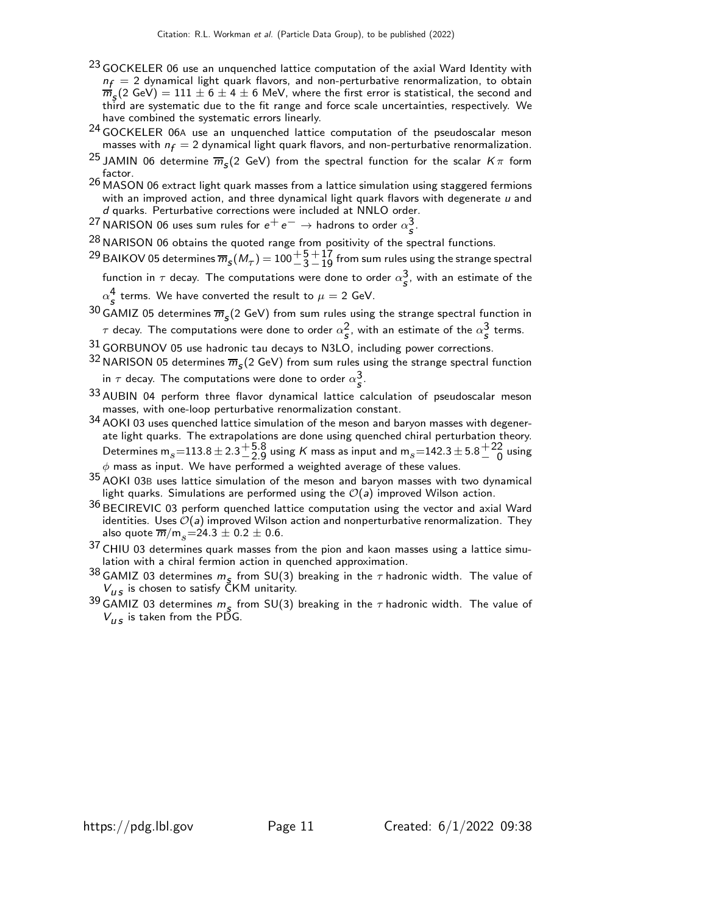- <sup>23</sup> GOCKELER 06 use an unquenched lattice computation of the axial Ward Identity with  $n_f = 2$  dynamical light quark flavors, and non-perturbative renormalization, to obtain  $\overline{m}_5(2 \text{ GeV}) = 111 \pm 6 \pm 4 \pm 6$  MeV, where the first error is statistical, the second and third are systematic due to the fit range and force scale uncertainties, respectively. We have combined the systematic errors linearly.
- <sup>24</sup> GOCKELER 06A use an unquenched lattice computation of the pseudoscalar meson masses with  $n_f = 2$  dynamical light quark flavors, and non-perturbative renormalization.
- <sup>25</sup> JAMIN 06 determine  $\overline{m}_s$ (2 GeV) from the spectral function for the scalar  $K\pi$  form factor.
- 26 MASON 06 extract light quark masses from a lattice simulation using staggered fermions with an improved action, and three dynamical light quark flavors with degenerate  $u$  and d quarks. Perturbative corrections were included at NNLO order.
- $^{27}$ NARISON 06 uses sum rules for  $e^+e^- \rightarrow$  hadrons to order  $\alpha_s^3$ .

 $^{28}$  NARISON 06 obtains the quoted range from positivity of the spectral functions.

- $^{29}$  BAIKOV 05 determines  $\overline{m}_{\bm{S}}(M_{\bm{\tau}})$   $=$   $100\frac{+5}{-3}$  $^{\rm +17}_{\rm -19}$  from sum rules using the strange spectral
	- function in  $\tau$  decay. The computations were done to order  $\alpha_{\scriptstyle\mathcal{S}}^{\mathbf{3}},$  with an estimate of the  $\alpha_{\bm{s}}^{\bm{4}}$  terms. We have converted the result to  $\mu=2$  GeV.
- $^{30}$  GAMIZ 05 determines  $\overline{m}_{\mathcal{S}}(2$  GeV) from sum rules using the strange spectral function in  $\tau$  decay. The computations were done to order  $\alpha_{\bm{s}}^{\bm{2}}$ , with an estimate of the  $\alpha_{\bm{s}}^{\bm{3}}$  terms.
- $31$  GORBUNOV 05 use hadronic tau decays to N3LO, including power corrections.
- <sup>32</sup> NARISON 05 determines  $\overline{m}_s$ (2 GeV) from sum rules using the strange spectral function in  $\tau$  decay. The computations were done to order  $\alpha_{\scriptstyle\mathcal{S}}^{\mathbf{3}}.$
- 33 AUBIN 04 perform three flavor dynamical lattice calculation of pseudoscalar meson masses, with one-loop perturbative renormalization constant.
- 34 AOKI 03 uses quenched lattice simulation of the meson and baryon masses with degenerate light quarks. The extrapolations are done using quenched chiral perturbation theory. Determines m $_s$   $=$   $113.8$   $\pm$   $2.3$   $^{+5.8}_{-2.9}$  $^{\mathrm{+}\,5.8}_{\mathrm{-}\,2.9}$  using  $\mathrm{\mathit{K}}$  mass as input and  $\mathrm{m}_{s}$   $\mathrm{=}\,142.3$   $\mathrm{\pm}\,5.8$   $\mathrm{\pm}\,22$ <br> $^{\mathrm{-}\,0}$  $\frac{+22}{-0}$  using  $\phi$  mass as input. We have performed a weighted average of these values.
- $35$  AOKI 03B uses lattice simulation of the meson and baryon masses with two dynamical light quarks. Simulations are performed using the  $\mathcal{O}(a)$  improved Wilson action.
- $36$  BECIREVIC 03 perform quenched lattice computation using the vector and axial Ward identities. Uses  $\mathcal{O}(a)$  improved Wilson action and nonperturbative renormalization. They also quote  $\overline{m}/m_s = 24.3 \pm 0.2 \pm 0.6$ .
- $37$  CHIU 03 determines quark masses from the pion and kaon masses using a lattice simulation with a chiral fermion action in quenched approximation.
- <sup>38</sup> GAMIZ 03 determines  $m_s$  from SU(3) breaking in the  $\tau$  hadronic width. The value of  $V_{US}$  is chosen to satisfy  $CKM$  unitarity.
- <sup>39</sup> GAMIZ 03 determines  $m_s$  from SU(3) breaking in the  $\tau$  hadronic width. The value of  $V_{\mu s}$  is taken from the PDG.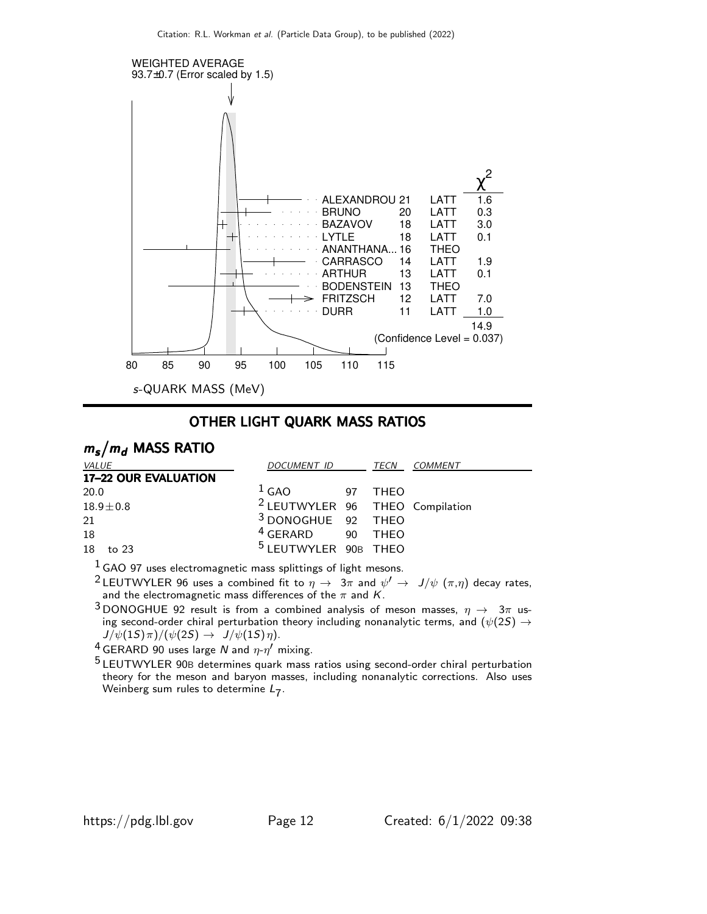

### OTHER LIGHT QUARK MASS RATIOS

# $m_s/m_d$  MASS RATIO

| <i>VALUE</i>         | <i>DOCUMENT ID</i><br>TECN                 |  |         | <i>COMMENT</i> |
|----------------------|--------------------------------------------|--|---------|----------------|
| 17-22 OUR EVALUATION |                                            |  |         |                |
| 20.0                 | $1$ GAO                                    |  | 97 THFO |                |
| $18.9 \pm 0.8$       | <sup>2</sup> LEUTWYLER 96 THEO Compilation |  |         |                |
| 21                   | <sup>3</sup> DONOGHUE 92 THEO              |  |         |                |
| 18                   | <sup>4</sup> GERARD 90 THEO                |  |         |                |
| 18<br>to 23          | <sup>5</sup> LEUTWYLER 90B THEO            |  |         |                |

 $1$  GAO 97 uses electromagnetic mass splittings of light mesons.

 $^2$ LEUTWYLER 96 uses a combined fit to  $\eta\,\rightarrow\,\,3\pi$  and  $\psi'\,\rightarrow\,\,J/\psi$   $(\pi,\eta)$  decay rates, and the electromagnetic mass differences of the  $\pi$  and  $K$ .

3 DONOGHUE 92 result is from a combined analysis of meson masses,  $\eta \to 3\pi$  using second-order chiral perturbation theory including nonanalytic terms, and  $(\psi(2S) \rightarrow$  $J/\psi(1S)\pi)/(\psi(2S) \rightarrow J/\psi(1S)\eta).$ 

<sup>4</sup> GERARD 90 uses large N and  $\eta$ - $\eta'$  mixing.

5 LEUTWYLER 90<sup>B</sup> determines quark mass ratios using second-order chiral perturbation theory for the meson and baryon masses, including nonanalytic corrections. Also uses Weinberg sum rules to determine  $L_7$ .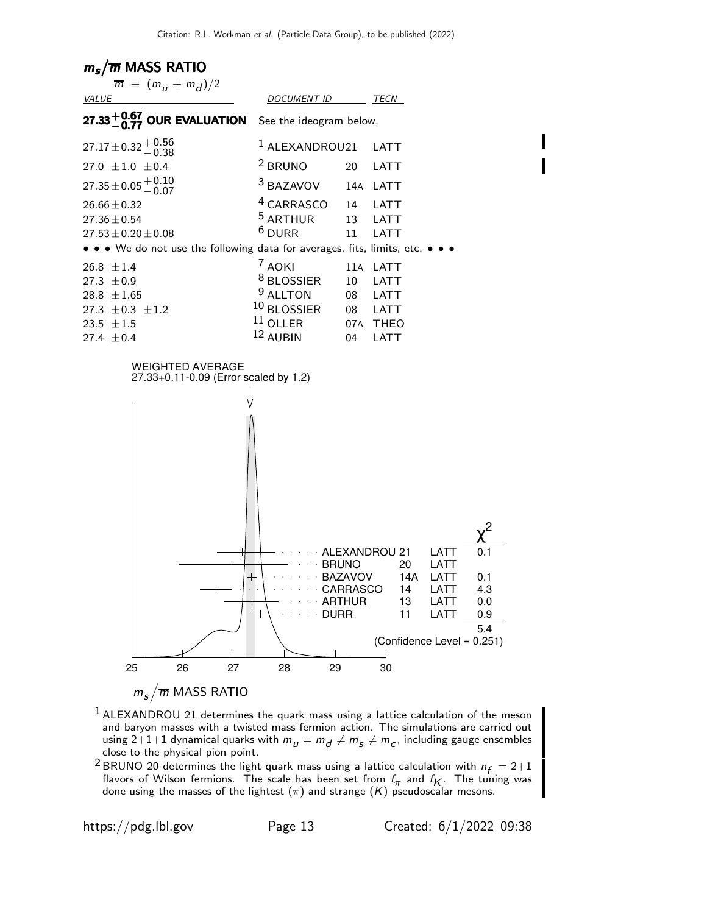# $m_s/\overline{m}$  MASS RATIO



- <sup>1</sup> ALEXANDROU 21 determines the quark mass using a lattice calculation of the meson and baryon masses with a twisted mass fermion action. The simulations are carried out using 2 $+1+1$  dynamical quarks with  $m_{_{{I\!I}}} = m_{_{{I\!I}}} \neq m_{_{{S\!I}}} \neq m_{_{{C}},$  including gauge ensembles close to the physical pion point.
- <sup>2</sup> BRUNO 20 determines the light quark mass using a lattice calculation with  $n_f = 2+1$ flavors of Wilson fermions. The scale has been set from  $f_{\pi}$  and  $f_{K}$ . The tuning was done using the masses of the lightest  $(\pi)$  and strange  $(K)$  pseudoscalar mesons.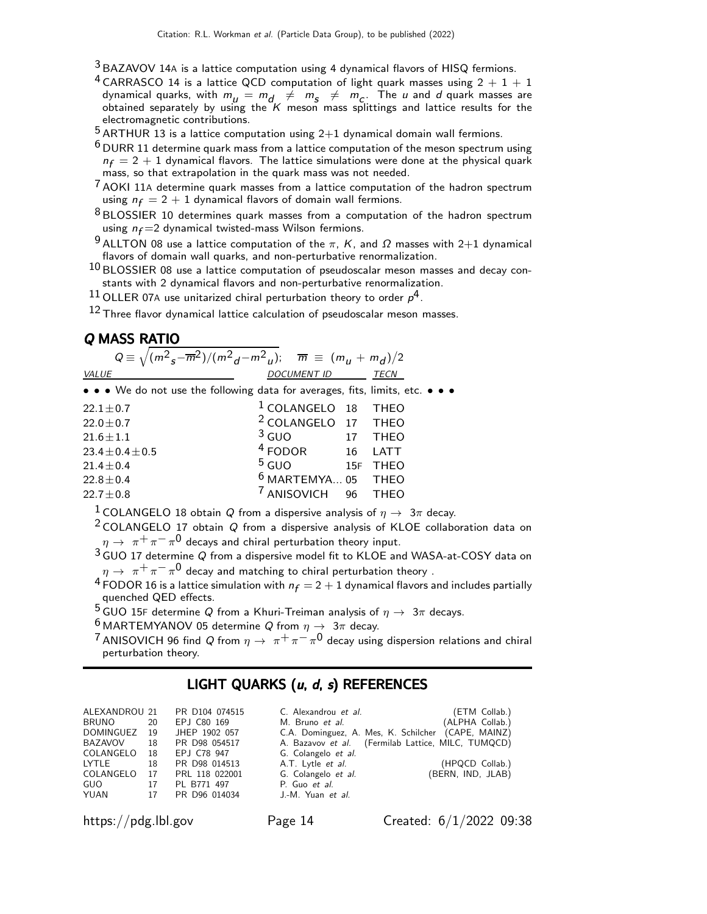- $3$  BAZAVOV 14A is a lattice computation using 4 dynamical flavors of HISQ fermions.
- <sup>4</sup> CARRASCO 14 is a lattice QCD computation of light quark masses using  $2 + 1 + 1$ dynamical quarks, with  $m_{\mu} = m_{d} \neq m_{s} \neq m_{c}$ . The  $\mu$  and  $d$  quark masses are obtained separately by using the  $K$  meson mass splittings and lattice results for the electromagnetic contributions.

 $5$  ARTHUR 13 is a lattice computation using 2+1 dynamical domain wall fermions.

 $^6$  DURR 11 determine quark mass from a lattice computation of the meson spectrum using  $n_f = 2 + 1$  dynamical flavors. The lattice simulations were done at the physical quark mass, so that extrapolation in the quark mass was not needed.

7 AOKI 11<sup>A</sup> determine quark masses from a lattice computation of the hadron spectrum using  $n_f = 2 + 1$  dynamical flavors of domain wall fermions.

<sup>8</sup> BLOSSIER 10 determines quark masses from a computation of the hadron spectrum using  $n_f = 2$  dynamical twisted-mass Wilson fermions.

 $^9$  ALLTON 08 use a lattice computation of the π, K, and  $\Omega$  masses with 2+1 dynamical flavors of domain wall quarks, and non-perturbative renormalization.

 $^{10}$  BLOSSIER 08 use a lattice computation of pseudoscalar meson masses and decay constants with 2 dynamical flavors and non-perturbative renormalization.

 $^{11}$  OLLER 07A use unitarized chiral perturbation theory to order  $\rho^4$ .

 $12$  Three flavor dynamical lattice calculation of pseudoscalar meson masses.

### Q MASS RATIO

| $Q = \sqrt{(m^2 s - m^2)/(m^2 d - m^2 u)}$ ; $\overline{m} = (m_u + m_d)/2$   |                                |     |             |  |  |  |  |  |  |
|-------------------------------------------------------------------------------|--------------------------------|-----|-------------|--|--|--|--|--|--|
| VALUE                                                                         | DOCUMENT ID                    |     | TECN        |  |  |  |  |  |  |
| • • • We do not use the following data for averages, fits, limits, etc. • • • |                                |     |             |  |  |  |  |  |  |
| $22.1 \pm 0.7$                                                                | <sup>1</sup> COLANGELO 18 THEO |     |             |  |  |  |  |  |  |
| $22.0 \pm 0.7$                                                                | <sup>2</sup> COLANGELO 17 THEO |     |             |  |  |  |  |  |  |
| $21.6 \pm 1.1$                                                                | $3$ GUO                        | 17  | <b>THEO</b> |  |  |  |  |  |  |
| $23.4 \pm 0.4 \pm 0.5$                                                        | $4$ FODOR                      | 16  | LATT        |  |  |  |  |  |  |
| $21.4 \pm 0.4$                                                                | $5$ GUO                        | 15F | <b>THEO</b> |  |  |  |  |  |  |
| $22.8 \pm 0.4$                                                                | $6$ MARTEMYA 05 THEO           |     |             |  |  |  |  |  |  |
| $22.7 \pm 0.8$                                                                | ANISOVICH 96 THEO              |     |             |  |  |  |  |  |  |

<sup>1</sup> COLANGELO 18 obtain Q from a dispersive analysis of  $\eta \to 3\pi$  decay.

 $2$  COLANGELO 17 obtain Q from a dispersive analysis of KLOE collaboration data on  $\eta \rightarrow~\pi^+\pi^- \pi^0$  decays and chiral perturbation theory input.

 $3\overline{3}$  GUO 17 determine Q from a dispersive model fit to KLOE and WASA-at-COSY data on  $\eta \rightarrow \ \pi^+ \pi^- \pi^0$  decay and matching to chiral perturbation theory .

<sup>4</sup> FODOR 16 is a lattice simulation with  $n_f = 2 + 1$  dynamical flavors and includes partially quenched QED effects.

<sup>5</sup> GUO 15F determine Q from a Khuri-Treiman analysis of  $\eta \to 3\pi$  decays.

<sup>6</sup> MARTEMYANOV 05 determine Q from  $\eta \to 3\pi$  decay.

 $^7$ ANISOVICH 96 find Q from  $\eta\rightarrow\ \pi^+\pi^-\pi^0$  decay using dispersion relations and chiral perturbation theory.

# LIGHT QUARKS  $(u, d, s)$  REFERENCES

|              |    | ALEXANDROU 21 PR D104 074515 | C. Alexandrou et al.     | (ETM Collab.)                                      |
|--------------|----|------------------------------|--------------------------|----------------------------------------------------|
| <b>BRUNO</b> | 20 | EPJ C80 169                  | M. Bruno et al.          | (ALPHA Collab.)                                    |
| DOMINGUEZ 19 |    | JHEP 1902 057                |                          | C.A. Dominguez, A. Mes, K. Schilcher (CAPE, MAINZ) |
| BAZAVOV      | 18 | PR D98 054517                |                          | A. Bazavov et al. (Fermilab Lattice, MILC, TUMQCD) |
| COLANGELO 18 |    | EPJ C78 947                  | G. Colangelo et al.      |                                                    |
| LYTLE        | 18 | PR D98 014513                | A.T. Lytle <i>et al.</i> | (HPQCD Collab.)                                    |
|              |    | COLANGELO 17 PRL 118 022001  | G. Colangelo et al.      | (BERN, IND, JLAB)                                  |
| GUO          |    | 17 PL B771 497               | P. Guo et al.            |                                                    |
| YUAN<br>17   |    | PR D96 014034                | J.-M. Yuan et al.        |                                                    |
|              |    |                              |                          |                                                    |

https://pdg.lbl.gov Page 14 Created: 6/1/2022 09:38